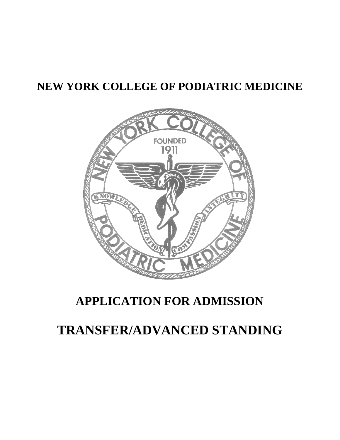## **NEW YORK COLLEGE OF PODIATRIC MEDICINE**



## **APPLICATION FOR ADMISSION**

# **TRANSFER/ADVANCED STANDING**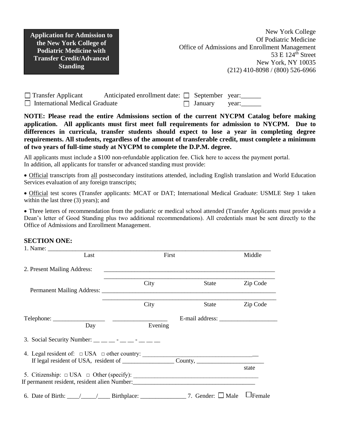**Application for Admission to the New York College of Podiatric Medicine with Transfer Credit/Advanced Standing**

| $\Box$ Transfer Applicant             | Anticipated enrollment date: $\Box$ September year: |                |       |
|---------------------------------------|-----------------------------------------------------|----------------|-------|
| $\Box$ International Medical Graduate |                                                     | $\Box$ January | vear: |

**NOTE: Please read the entire Admissions section of the current NYCPM Catalog before making application. All applicants must first meet full requirements for admission to NYCPM. Due to differences in curricula, transfer students should expect to lose a year in completing degree requirements. All students, regardless of the amount of transferable credit, must complete a minimum of two years of full-time study at NYCPM to complete the D.P.M. degree.** 

All applicants must include a \$100 non-refundable application fee. [Click here to access the payment portal.](https://secure.touchnet.net/C21513_ustores/web/store_main.jsp?STOREID=152&SINGLESTORE=true) In addition, all applicants for transfer or advanced standing must provide:

 Official transcripts from all postsecondary institutions attended, including English translation and World Education Services evaluation of any foreign transcripts;

 Official test scores (Transfer applicants: MCAT or DAT; International Medical Graduate: USMLE Step 1 taken within the last three (3) years); and

 Three letters of recommendation from the podiatric or medical school attended (Transfer Applicants must provide a Dean's letter of Good Standing plus two additional recommendations). All credentials must be sent directly to the Office of Admissions and Enrollment Management.

#### **SECTION ONE:**

| Last                                                                                                         | First   |                        | Middle        |
|--------------------------------------------------------------------------------------------------------------|---------|------------------------|---------------|
| 2. Present Mailing Address:                                                                                  |         |                        |               |
|                                                                                                              | City    | State                  | Zip Code      |
|                                                                                                              | City    | State                  | Zip Code      |
| Day                                                                                                          | Evening |                        |               |
| 3. Social Security Number: $\_\_$ $\_\_$ $\_\_$ $\_\_$ $\_\_$ $\_\_$                                         |         |                        |               |
|                                                                                                              |         |                        |               |
|                                                                                                              |         |                        | state         |
|                                                                                                              |         |                        |               |
| 6. Date of Birth: $\_\_\_\_\_\_\_\_\_\$ Birthplace: $\_\_\_\_\_\_\_\_\_\_\_\_\_\_\_\_\_\_\_\_\_\_\_\_\_\_\_$ |         | 7. Gender: $\Box$ Male | $\Box$ Female |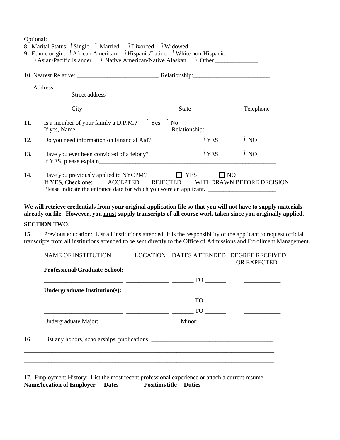| Optional: | 8. Marital Status: <sup>1</sup> Single <sup>1</sup> Married <sup>1</sup> Divorced <sup>1</sup> Widowed<br>9. Ethnic origin: <sup>1</sup> African American <sup>1</sup> Hispanic/Latino <sup>1</sup> White non-Hispanic<br><sup>1</sup> Asian/Pacific Islander <sup>1</sup> Native American/Native Alaskan <sup>1</sup> Other ______________ |                  |           |
|-----------|---------------------------------------------------------------------------------------------------------------------------------------------------------------------------------------------------------------------------------------------------------------------------------------------------------------------------------------------|------------------|-----------|
|           |                                                                                                                                                                                                                                                                                                                                             |                  |           |
|           |                                                                                                                                                                                                                                                                                                                                             |                  |           |
|           | Street address                                                                                                                                                                                                                                                                                                                              |                  |           |
|           | City                                                                                                                                                                                                                                                                                                                                        | <b>State</b>     | Telephone |
| 11.       | Is a member of your family a D.P.M.? $\check{ }$ Yes $\check{ }$ No                                                                                                                                                                                                                                                                         |                  |           |
| 12.       | Do you need information on Financial Aid?                                                                                                                                                                                                                                                                                                   | $\sqrt{1}$ YES   | $\int$ NO |
| 13.       | Have you ever been convicted of a felony?                                                                                                                                                                                                                                                                                                   | <sup>I</sup> YES | $\int$ NO |
| 14.       | Have you previously applied to NYCPM? $\Box$ YES $\Box$ NO<br>If YES, Check one: $\Box$ ACCEPTED $\Box$ REJECTED $\Box$ WITHDRAWN BEFORE DECISION<br>Please indicate the entrance date for which you were an applicant.                                                                                                                     |                  |           |

### **We will retrieve credentials from your original application file so that you will not have to supply materials already on file. However, you must supply transcripts of all course work taken since you originally applied.**

#### **SECTION TWO:**

15. Previous education: List all institutions attended. It is the responsibility of the applicant to request official transcripts from all institutions attended to be sent directly to the Office of Admissions and Enrollment Management.

|     | NAME OF INSTITUTION                                                                                                                                                                                                                                                                                                                                                                                                                             | LOCATION DATES ATTENDED DEGREE RECEIVED | OR EXPECTED |
|-----|-------------------------------------------------------------------------------------------------------------------------------------------------------------------------------------------------------------------------------------------------------------------------------------------------------------------------------------------------------------------------------------------------------------------------------------------------|-----------------------------------------|-------------|
|     | <b>Professional/Graduate School:</b>                                                                                                                                                                                                                                                                                                                                                                                                            |                                         |             |
|     | $\frac{1}{\sqrt{1-\frac{1}{2}}\left(1-\frac{1}{2}\right)}=\frac{1}{\sqrt{1-\frac{1}{2}}\left(1-\frac{1}{2}\right)}=\frac{1}{\sqrt{1-\frac{1}{2}}\left(1-\frac{1}{2}\right)}=\frac{1}{\sqrt{1-\frac{1}{2}}\left(1-\frac{1}{2}\right)}=\frac{1}{\sqrt{1-\frac{1}{2}}\left(1-\frac{1}{2}\right)}=\frac{1}{\sqrt{1-\frac{1}{2}}\left(1-\frac{1}{2}\right)}=\frac{1}{\sqrt{1-\frac{1}{2}}\left(1-\frac{1}{2}\right)}=\frac{1}{\sqrt{1-\frac{1}{2}}\$ |                                         |             |
|     | <b>Undergraduate Institution(s):</b>                                                                                                                                                                                                                                                                                                                                                                                                            |                                         |             |
|     |                                                                                                                                                                                                                                                                                                                                                                                                                                                 |                                         |             |
|     | $\frac{1}{\sqrt{1-\frac{1}{2}}\left(\frac{1}{\sqrt{1-\frac{1}{2}}\left(\frac{1}{\sqrt{1-\frac{1}{2}}\left(\frac{1}{\sqrt{1-\frac{1}{2}}\left(\frac{1}{\sqrt{1-\frac{1}{2}}\left(\frac{1}{\sqrt{1-\frac{1}{2}}\left(\frac{1}{\sqrt{1-\frac{1}{2}}\left(\frac{1}{\sqrt{1-\frac{1}{2}}\left(\frac{1}{\sqrt{1-\frac{1}{2}}\left(\frac{1}{\sqrt{1-\frac{1}{2}}\left(\frac{1}{\sqrt{1-\frac{1}{2}}\left(\frac{1}{\sqrt{1-\frac{1}{2}}\left(\frac{1$   |                                         |             |
|     |                                                                                                                                                                                                                                                                                                                                                                                                                                                 |                                         |             |
| 16. | List any honors, scholarships, publications: ___________________________________                                                                                                                                                                                                                                                                                                                                                                |                                         |             |
|     | 17. Employment History: List the most recent professional experience or attach a current resume.<br>Name/location of Employer Dates Position/title Duties<br><u> 1999 - Jan James James, francuski politik, francuski politik, politik, politik, politik, politik, politik, p</u>                                                                                                                                                               |                                         |             |
|     |                                                                                                                                                                                                                                                                                                                                                                                                                                                 |                                         |             |

\_\_\_\_\_\_\_\_\_\_\_\_\_\_\_\_\_\_\_\_\_\_\_\_ \_\_\_\_\_\_\_\_\_\_\_\_ \_\_\_\_\_\_\_\_\_\_\_ \_\_\_\_\_\_\_\_\_\_\_\_\_\_\_\_\_\_\_\_\_\_\_\_\_\_\_\_\_\_